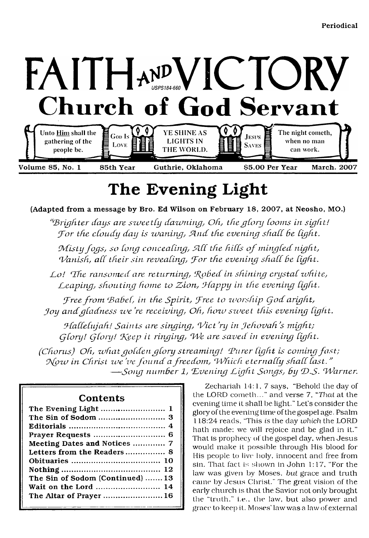

# **The Evening Light**

<span id="page-0-0"></span>(Adapted from a message by Bro. Ed Wilson on February 18, 2007, at Neosho, MO.)

*"'B righter days are szueetCy dazuning, Oh, the gCory Coo ins in sight!* For the cloudy day is *waning*, And the evening shall be light.

*Misty fogs, so long concealing, All the hills of mingled night, Vanish, all their sin revealing, For the evening shall be light.* 

Lo! The ransomed are returning, Robed in shining crystal white, Leaping, shouting home to Zion, Happy in the evening light.

Free from Babel, in the Spirit, Free to worship God aright, Joy and gladness we're receiving, Oh, how sweet this evening light.

*Hallelujah! Saints are singing, Vict'ry in Jehovah's might; (jCory! CjCory! Cf\eep it ringing, TJe are saved in evening Cight.*

*(Chorus) Oh, what golden glory streaming! Purer light is coming fast; Now in Christ we've found a freedom, Which eternally shall last." — Song number 1, 'E vening T ig h t Songs, by CD.S*. \*7*Tam er.*

### **Contents**

| Meeting Dates and Notices  7     |
|----------------------------------|
|                                  |
|                                  |
|                                  |
| The Sin of Sodom (Continued)  13 |
| Wait on the Lord  14             |
| The Altar of Prayer  16          |
|                                  |

Zechariah 14:1, 7 says, "Behold the day of the LORD cometh..." and verse 7, *"That* at the evening time it shall be light." Let's consider the glory of the evening time of the gospel age. Psalm 118:24 reads. "This *is* the day *which* the LORD hath made: we will rejoice and be glad in it." That is prophecy of the gospel day, when Jesus would make it possible through His blood for His people to live' holy, innocent and free from sin. That fact is shown in John 1:17, "For the law was given by Moses, *hut* grace and truth came by Jesus Christ." The great vision of the early church is that the Savior not only brought the "truth." i.e., the law, but also power and grace to keep it. Moses' law was a law of external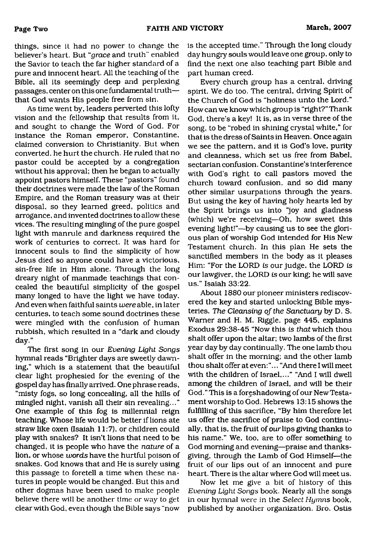things, since it had no power to change the believer's heart. But "grace and truth" enabled the Savior to teach the far higher standard of a pure and innocent heart. All the teaching of the Bible, all its seemingly deep and perplexing passages, center on this one fundamental truth that God wants His people free from sin.

As time went by, leaders perverted this lofty vision and the fellowship that results from it, and sought to change the Word of God. For instance the Roman emperor, Constantine, claimed conversion to Christianity. But when converted, he hurt the church. He ruled that no pastor could be accepted by a congregation without his approval; then he began to actually appoint pastors himself. These "pastors" found their doctrines were made the law of the Roman Empire, and the Roman treasury was at their disposal, so they learned greed, politics and arrogance, and invented doctrines to allow these vices. The resulting mingling of the pure gospel light with manrule and darkness required the work of centuries to correct. It was hard for innocent souls to find the simplicity of how Jesus died so anyone could have a victorious, sin-free life in Him alone. Through the long dreary night of manmade teachings that concealed the beautiful simplicity of the gospel many longed to have the light we have today. And even when faithful saints were able, in later centuries, to teach some sound doctrines these were mingled with the confusion of human rubbish, which resulted in a "dark and cloudy day."

The first song in our *Evening Light Songs* hymnal reads "Brighter days are sweetly dawning," which is a statement that the beautiful clear light prophesied for the evening of the gospel day has finally arrived. One phrase reads, "misty fogs, so long concealing, all the hills of mingled night, vanish all their sin revealing..." One example of this fog is millennial reign teaching. Whose life would be better if lions ate straw like oxen (Isaiah 11:7), or children could play with snakes? It isn't lions that need to be changed, it is people who have the *nature* of a lion, or whose *words* have the hurtful poison of snakes. God knows that and He is surely using this passage to foretell a time when these natures in people would be changed. But this and other dogmas have been used to make people believe there will be another time or way to get clear with God, even though the Bible says "now

is the accepted time." Through the long cloudy day hungry souls would leave one group, only to find the next one also teaching part Bible and part human creed.

Every church group has a central, driving spirit. We do too. The central, driving Spirit of the Church of God is "holiness unto the Lord." How can we know which group is "right?" Thank God, there's a key! It is, as in verse three of the song, to be "robed in shining crystal white," for that is the dress of Saints in Heaven. Once again we see the pattern, and it is God's love, purity and cleanness, which set us free from Babel, sectarian confusion. Constantine's interference with God's right to call pastors moved the church toward confusion, and so did many other similar usurpations through the years. But using the key of having holy hearts led by the Spirit brings us into "joy and gladness (which) we're receiving—Oh, how sweet this evening light!"—by causing us to see the glorious plan of worship God intended for His New Testament church. In this plan He sets the sanctified members in the body as it pleases Him: "For the LORD *is* our judge, the LORD *is* our lawgiver, the LORD *is* our king; he will save us." Isaiah 33:22.

About 1880 our pioneer ministers rediscovered the key and started unlocking Bible mysteries. *The Cleansing of the Sanctuary* by D. S. Warner and H. M. Riggle, page 445, explains Exodus 29:38-45 "Now this *is that* which thou shalt offer upon the altar; two lambs of the first year day by day continually. The one lamb thou shalt offer in the morning; and the other lamb thou shalt offer at even: "... "And there I will meet with the children of Israel,..." "And I will dwell among the children of Israel, and will be their God." This is a foreshadowing of our New Testament worship to God. Hebrews 13:15 shows the fulfilling of this sacrifice, "By him therefore let us offer the sacrifice of praise to God continually, that is, the fruit of our lips giving thanks to his name." We, too, are to offer something to God morning and evening—praise and thanksgiving, through the Lamb of God Himself—the fruit of our lips out of an innocent and pure heart. There is the altar where God will meet us.

Now let me give a bit of history of this *Evening Light Songs* book. Nearly all the songs in our hymnal were in the *Select Hymns* book, published by another organization. Bro. Ostis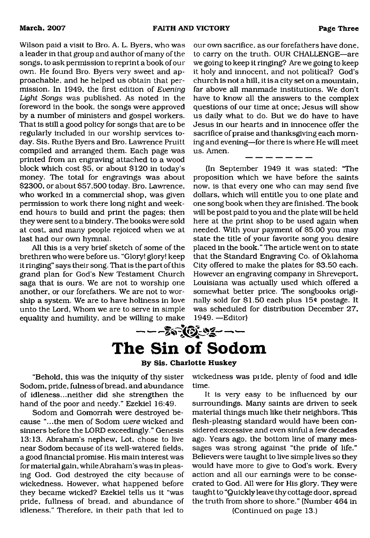Wilson paid a visit to Bro. A. L. Byers, who was a leader in that group and author of many of the songs, to ask permission to reprint a book of our own. He found Bro. Byers very sweet and approachable, and he helped us obtain that permission. In 1949, the first edition of *Evening Light Songs* was published. As noted in the foreword in the book, the songs were approved by a number of ministers and gospel workers. That is still a good policy for songs that are to be regularly included in our worship services today. Sis. Ruthe Byers and Bro. Lawrence Pruitt compiled and arranged them. Each page was printed from an engraving attached to a wood block which cost \$5, or about \$120 in today's money. The total for engravings was about \$2300, or about \$57,500 today. Bro. Lawrence, who worked in a commercial shop, was given permission to work there long night and weekend hours to build and print the pages; then they were sent to a bindery. The books were sold at cost, and many people rejoiced when we at last had our own hymnal.

All this is a very brief sketch of some of the brethren who were before us. "Glory! glory! keep it ringing" says their song. That is the part of this grand plan for God's New Testament Church saga that is ours. We are not to worship one another, or our forefathers. We are not to worship a system. We are to have holiness in love unto the Lord, Whom we are to serve in simple equality and humility, and be willing to make

our own sacrifice, as our forefathers have done, to carry on the truth. OUR CHALLENGE—are we going to keep it ringing? Are we going to keep it holy and innocent, and not political? God's church is not a hill, it is a city set on a mountain, far above all manmade institutions. We don't have to know all the answers to the complex questions of our time at once; Jesus will show us daily what to do. But we do have to have Jesus in our hearts and in innocence offer the sacrifice of praise and thanksgiving each morning and evening—for there is where He will meet us. Amen.

(In September 1949 it was stated: "The proposition which we have before the saints now, is that every one who can may send five dollars, which will entitle you to one plate and one song book when they are finished. The book will be post paid to you and the plate will be held here at the print shop to be used again when needed. With your payment of \$5.00 you may state the title of your favorite song you desire placed in the book." The article went on to state that the Standard Engraving Co. of Oklahoma City offered to make the plates for \$3.50 each. However an engraving company in Shreveport, Louisiana was actually used which offered a somewhat better price. The songbooks originally sold for \$1.50 each plus  $15¢$  postage. It was scheduled for distribution December 27, 1949. —Editor)

<span id="page-2-0"></span>

"Behold, this was the iniquity of thy sister Sodom, pride, fulness of bread, and abundance of idleness...neither did she strengthen the hand of the poor and needy." Ezekiel 16:49.

Sodom and Gomorrah were destroyed because "...the men of Sodom *were* wicked and sinners before the LORD exceedingly." Genesis 13:13. Abraham's nephew, Lot, chose to live near Sodom because of its well-watered fields, a good financial promise. His main interest was for material gain, while Abraham's was in pleasing God. God destroyed the city because of wickedness. However, what happened before they became wicked? Ezekiel tells us it "was pride, fullness of bread, and abundance of idleness." Therefore, in their path that led to

wickedness was pride, plenty of food and idle time.

It is very easy to be influenced by our surroundings. Many saints are driven to seek material things much like their neighbors. This flesh-pleasing standard would have been considered excessive and even sinful a few decades ago. Years ago, the bottom line of many messages was strong against "the pride of life." Believers were taught to live simple lives so they would have more to give to God's work. Every action and all our earnings were to be consecrated to God. All were for His glory. They were taught to "Quickly leave thy cottage door, spread the truth from shore to shore." (Number 464 in

(Continued on page 13.)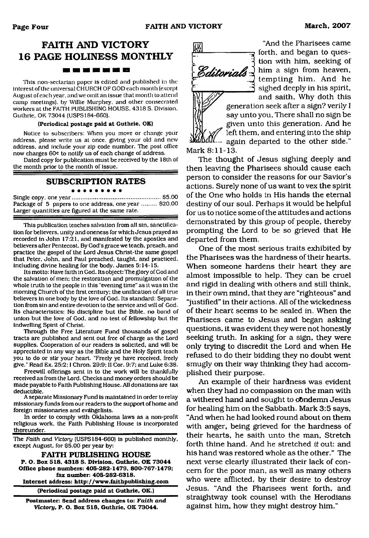# **FAITH AND VICTORY 16 PAGE HOLINESS MONTHLY** <u> 1988 - 1988 - 1988 - 1988 - 1988 - 1988 - 1988 - 1988 - 1988 - 1988 - 1988 - 1988 - 1988 - 1988 - 1988 - 198</u>

This non-sectarian paper is edited and published in the interest of the universal CHURCH OF GOD each month (except August of each year, and we omit an issue that month to attend camp meetings), by Willie Murphey. and other consecrated workers at the FAITH PUBLISHING HOUSE. 4318 S. Division. Guthrie, OK 73044 (USPS184-660).

#### **(Periodical postage paid at Guthrie, OK)**

Notice to subscribers: When you move or change your address, please write us at once, giving your old and new address, and include your zip code number. The post office now charges 60c to notify us of each change of address.

Dated copy for publication must be received by the 18th of the month prior to the month of issue.

#### **SUBSCRIPTION RATES**

#### . . . . . . . . .

Single copy, one year......................................................\$5.00 Package of 5 papers to one address, one year ......... \$20.00 Larger quantities are figured at the same rate.

This publication teaches salvation from all sin, sanctification for believers, unity and oneness for which Jesus prayed as recorded in John 17:21, and manifested by the apostles and believers after Pentecost. By God's grace we teach, preach, and practice the gospel of the Lord Jesus Christ-the same gospel that Peter, John, and Paul preached, taught, and practiced, including divine healing for the body. James 5:14-15.

Its motto: Have faith in God. Its object: The glory of God and the salvation of men: the restoration and promulgation of the whole truth to the people in this "evening time" as it was in the morning Church of the first century: the unification of all true believers in one body by the love of God. Its standard: Separation from sin and entire devotion to the service and will of God. Its characteristics: No discipline but the Bible, no bond of union but the love of God, and no test of fellowship but the indwelling Spirit of Christ.

Through the Free Literature Fund thousands of gospel tracts are published and sent out free of charge as the Lord supplies. Cooperation of our readers is solicited, and will be appreciated in any way as the Bible and the Holy Spirit teach you to do or stir your heart. "Freely ye have received, freely give." Read Ex. 25:2:1 Chron. 29:9: II Cor. 9:7; and Luke 6:38.

Freewill offerings sent in to the work will be thankfully received as from the Lord. Checks and money orders should be made payable to Faith Publishing House. All donations are tax deductible.

A separate Missionary Fund is maintained in order to relay missionary funds from our readers to the support of home and foreign missionaries and evangelists.

In order to comply with Oklahoma laws as a non-profit religious work, the Faith Publishing House is incorporated thereunder.

The *Faith and Victory* (USPS 184-660) is published monthly, except August, for \$5.00 per year by:

**FAITH PUBLISHING HOUSE P. O. Box 518, 4318 S. Division, Guthrie. OK 73044 Office phone numbers: 405-282-1479, 800-767-1479; fax number: 405-282-6318.**

**Internet address:<http://www.faithpublishing.com>**

**(Periodical postage paid at Guthrie, OK.)**

**Postmaster: Send address changes to:** *Faith and Victory,* **P. O. Box 518, Guthrie, OK 73044.**



"And the Pharisees came forth, and began to question with him, seeking of him a sign from heaven, tempting him. And he sighed deeply in his spirit, and saith, Why doth this

generation seek after a sign? verily I say unto you, There shall no sign be given unto this generation. And he left them, and entering into the ship again departed to the other side."

Mark 8:11-13.

The thought of Jesus sighing deeply and then leaving the Pharisees should cause each person to consider the reasons for our Savior's actions. Surely none of us want to vex the spirit of the One who holds in His hands the eternal destiny of our soul. Perhaps it would be helpful for us to notice some of the attitudes and actions demonstrated by this group of people, thereby prompting the Lord to be so grieved that He departed from them.

One of the most serious traits exhibited by the Pharisees was the hardness of their hearts. When someone hardens their heart they are almost impossible to help. They can be cruel and rigid in dealing with others and still think, in their own mind, that they are "righteous" and "justified" in their actions. All of the wickedness of their heart seems to be sealed in. When the Pharisees came to Jesus and began asking questions, it was evident they were not honestly seeking truth. In asking for a sign, they were only trying to discredit the Lord and when He refused to do their bidding they no doubt went smugly on their way thinking they had accomplished their purpose.

An example of their hardness was evident when they had no compassion on the man with a withered hand and sought to condemn Jesus for healing him on the Sabbath. Mark 3:5 says, "And when he had looked round about on them with anger, being grieved for the hardness of their hearts, he saith unto the man, Stretch forth thine hand. And he stretched *it* out: and his hand was restored whole as the other." The next verse clearly illustrated their lack of concern for the poor man, as well as many others who were afflicted, by their desire to destroy Jesus. "And the Pharisees went forth, and straightway took counsel with the Herodians against him, how they might destroy him."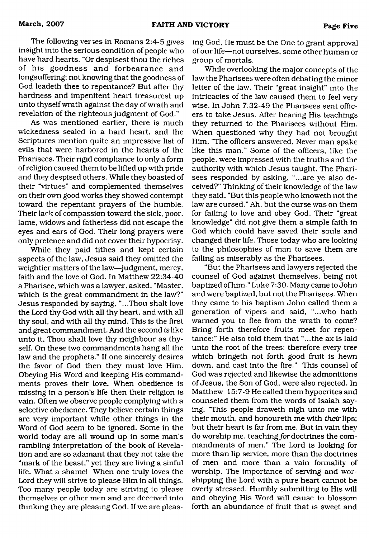The following verges in Romans  $2:4-5$  gives insight into the serious condition of people who have hard hearts. "Or despisest thou the riches of his goodness and forbearance and longsuffering; not knowing that the goodness of God leadeth thee to repentance? But after thy hardness and impenitent heart treasurest up unto thyself wrath against the day of wrath and revelation of the righteous judgment of God."

As was mentioned earlier, there is much wickedness sealed in a hard heart, and the Scriptures mention quite an impressive list of evils that were harbored in the hearts of the Pharisees. Their rigid compliance to only a form of religion caused them to be lifted up with pride and they despised others. While they boasted of their "virtues" and complemented themselves on their own good works they showed contempt toward the repentant prayers of the humble. Their lack of compassion toward the sick, poor, lame, widows and fatherless did not escape the eyes and ears of God. Their long prayers were only pretence and did not cover their hypocrisy.

While they paid tithes and kept certain aspects of the law, Jesus said they omitted the weightier matters of the law—judgment, mercy, faith and the love of God. In Matthew 22:34-40 a Pharisee, which was a lawyer, asked, "Master, which *is* the great commandment in the law?" Jesus responded by saying, "...Thou shalt love the Lord thy God with all thy heart, and with all thy soul, and with all thy mind. This is the first and great commandment. And the second is like unto it, Thou shalt love thy neighbour as thyself. On these two commandments hang all the law and the prophets." If one sincerely desires the favor of God then they must love Him. Obeying His Word and keeping His commandments proves their love. When obedience is missing in a person's life then their religion is vain. Often we observe people complying with a selective obedience. They believe certain things are very important while other things in the Word of God seem to be ignored. Some in the world today are all wound up in some man's rambling interpretation of the book of Revelation and are so adamant that they not take the "mark of the beast," yet they are living a sinful life. What a shame! When one truly loves the Lord they will strive to please Him in all things. Too many people today are striving to please themselves or other men and are deceived into thinking they are pleasing God. If we are pleasing God, He must be the One to grant approval of our life—not ourselves, some other human or group of mortals.

While overlooking the major concepts of the law the Pharisees were often debating the minor letter of the law. Their "great insight" into the intricacies of the law caused them to feel very wise. In John 7:32-49 the Pharisees sent officers to take Jesus. After hearing His teachings they returned to the Pharisees without Him. When questioned why they had not brought Him, "The officers answered, Never man spake like this man." Some of the officers, like the people, were impressed with the truths and the authority with which Jesus taught. The Pharisees responded by asking, "...are ye also deceived?" Thinking of their knowledge of the law they said, "But this people who knoweth not the law are cursed." Ah, but the curse was on them for failing to love and obey God. Their "great knowledge" did not give them a simple faith in God which could have saved their souls and changed their life. Those today who are looking to the philosophies of man to save them are failing as miserably as the Pharisees.

"But the Pharisees and lawyers rejected the counsel of God against themselves, being not baptized of him." Luke 7:30. Many came to John and were baptized, but not the Pharisees. When they came to his baptism John called them a generation of vipers and said, "...who hath warned you to flee from the wrath to come? Bring forth therefore fruits meet for repentance:" He also told them that "...the ax is laid unto the root of the trees: therefore every tree which bringeth not forth good fruit is hewn down, and cast into the fire." This counsel of God was rejected and likewise the admonitions of Jesus, the Son of God, were also rejected. In Matthew 15:7-9 He called them hypocrites and counseled them from the words of Isaiah saying, "This people draweth nigh unto me with their mouth, and honoureth me with *their* lips; but their heart is far from me. But in vain they do worship me, teaching for doctrines the commandments of men." The Lord is looking for more than lip service, more than the doctrines of men and more than a vain formality of worship. The importance of serving and worshipping the Lord with a pure heart cannot be overly stressed. Humbly submitting to His will and obeying His Word will cause to blossom forth an abundance of fruit that is sweet and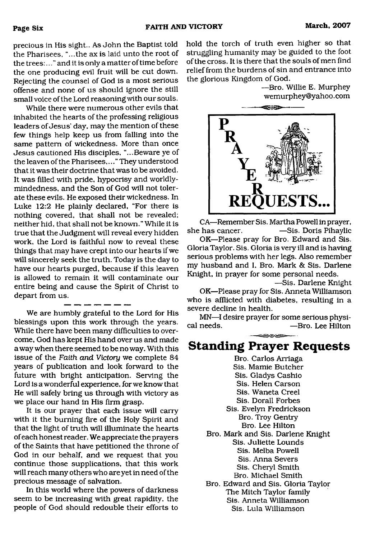precious in His sight.. As John the Baptist told the Pharisees, "...the ax is laid unto the root of the trees:..." and it is only a matter of time before the one producing evil fruit will be cut down. Rejecting the counsel of God is a most serious offense and none of us should ignore the still small voice of the Lord reasoning with our souls.

While there were numerous other evils that inhabited the hearts of the professing religious leaders of Jesus' day, may the mention of these few things help keep us from falling into the same pattern of wickedness. More than once Jesus cautioned His disciples, "...Beware ye of the leaven of the Pharisees,..." They understood that it was their doctrine that was to be avoided. It was filled with pride, hypocrisy and worldlymindedness, and the Son of God will not tolerate these evils. He exposed their wickedness. In Luke 12:2 He plainly declared, "For there is nothing covered, that shall not be revealed; neither hid, that shall not be known." While it is true that the Judgment will reveal every hidden work, the Lord is faithful now to reveal these things that may have crept into our hearts if we will sincerely seek the truth. Today is the day to have our hearts purged, because if this leaven is allowed to remain it will contaminate our entire being and cause the Spirit of Christ to depart from us.

We are humbly grateful to the Lord for His blessings upon this work through the years. While there have been many difficulties to overcome, God has kept His hand over us and made away when there seemed to be no way. With this issue of the *Faith and Victory* we complete 84 years of publication and look forward to the future with bright anticipation. Serving the Lord is a wonderful experience, for we know that He will safely bring us through with victory as we place our hand in His firm grasp.

It is our prayer that each issue will carry with it the burning fire of the Holy Spirit and that the light of truth will illuminate the hearts of each honest reader. We appreciate the prayers of the Saints that have petitioned the throne of God in our behalf, and we request that you continue those supplications, that this work will reach many others who are yet in need of the precious message of salvation.

In this world where the powers of darkness seem to be increasing with great rapidity, the people of God should redouble their efforts to hold the torch of truth even higher so that struggling humanity may be guided to the foot of the cross. It is there that the souls of men find relief from the burdens of sin and entrance into the glorious Kingdom of God.

> —Bro. Willie E. Murphey wemurphey@yahoo.com



CA—Remember Sis. Martha Powell in prayer, she has cancer. ——Sis. Doris Pihaylic

OK—Please pray for Bro. Edward and Sis. Gloria Taylor. Sis. Gloria is very ill and is having serious problems with her legs. Also remember my husband and I, Bro. Mark & Sis. Darlene Knight, in prayer for some personal needs.

—Sis. Darlene Knight OK—Please pray for Sis. Anneta Williamson who is afflicted with diabetes, resulting in a severe decline in health.

MN—I desire prayer for some serious physical needs.  $-$ Bro. Lee Hilton -Bro. Lee Hilton

### <u>saca</u> **Standing Prayer Requests**

Bro. Carlos Arriaga Sis. Mamie Butcher Sis. Gladys Cashio Sis. Helen Carson Sis. Waneta Creel Sis. Dorall Forbes Sis. Evelyn Fredrickson Bro. Troy Gentry Bro. Lee Hilton Bro. Mark and Sis. Darlene Knight Sis. Juliette Lounds Sis. Melba Powell Sis. Anna Severs Sis. Cheryl Smith Bro. Michael Smith Bro. Edward and Sis. Gloria Taylor The Mitch Taylor family Sis. Anneta Williamson Sis. Lula Williamson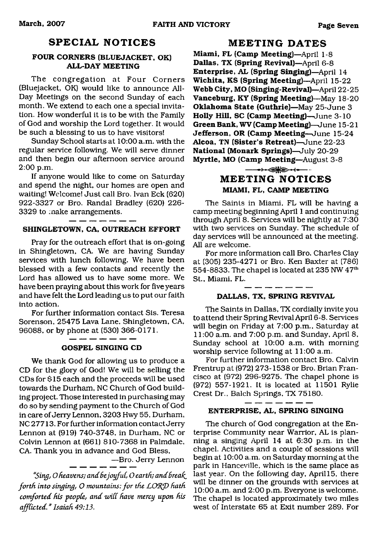### **SPECIAL NOTICES**

#### **FOUR CORNERS (BLUEJACKET, OK) ALL-DAY MEETING**

The congregation at Four Corners (Bluejacket, OK) would like to announce All-Day Meetings on the second Sunday of each month. We extend to each one a special invitation. How wonderful it is to be with the Family of God and worship the Lord together. It would be such a blessing to us to have visitors!

Sunday School starts at 10:00 a.m. with the regular service following. We will serve dinner and then begin our afternoon service around 2:00 p.m.

If anyone would like to come on Saturday and spend the night, our homes are open and waiting! Welcome! Just call Bro. Ivan Eck (620) 922-3327 or Bro. Randal Bradley (620) 226- 3329 to make arrangements.

#### **SHINGLETOWN, CA, OUTREACH EFFORT**

Pray for the outreach effort that is on-going in Shingletown, CA. We are having Sunday services with lunch following. We have been blessed with a few contacts and recently the Lord has allowed us to have some more. We have been praying about this work for five years and have felt the Lord leading us to put our faith into action.

For further information contact Sis. Teresa Sorenson, 25475 Lava Lane. Shingletown, CA, 96088, or by phone at (530) 366-0171.

#### **GOSPEL SINGING CD**

We thank God for allowing us to produce a CD for the glory of God! We will be selling the CDs for \$15 each and the proceeds will be used towards the Durham, NC Church of God building project. Those interested in purchasing may do so by sending payment to the Church of God in care of Jerry Lennon, 3203 Hwy 55, Durham, NC 27713. For further information contact Jerry Lennon at (919) 740-3748, in Durham, NC or Colvin Lennon at (661) 810-7368 in Palmdale, CA. Thank you in advance and God Bless,

 $-B$ ro. Jerry Lennon

"Sing, O heavens; and be joyful, O earth; and break *forth into singing, O mountains: for the LORD hath comforted his people, and zviCC have mercy upon his* afflicted." Isaiah 49:13.

#### **MEETING DATES**

**Miami, FL (Camp Meeting)—**April 1-8 **Dallas, TX (Spring Revival)**—April 6-8 **Enterprise, AL (Spring Singing)**—April 14 **Wichita, KS (Spring Meeting)**—April 15-22 **Webb City, MO (Singing-Revival)**—April 22-25 **Vanceburg, KY (Spring Meeting)**—May 18-20 **Oklahoma State (Guthrie)**—May 25-June 3 **Holly Hill, SC (Camp Meeting)**—June 3-10 **Green Bank, WV (Camp Meeting)**—June 15-21 **Jefferson, OR (Camp Meeting**—June 15-24 **Alcoa, TN (Sister's Retreat)**—June 22-23 **National (Monark Springs)**—July 20-29 **Myrtle, MO (Camp Meeting**—August 3-8 →→→● <sub>→</sub>→

# **MEETING NOTICES MIAMI, FL, CAMP MEETING**

The Saints in Miami, FL will be having a camp meeting beginning April 1 and continuing through April 8. Services will be nightly at 7:30 with two services on Sunday. The schedule of day services will be announced at the meeting. All are welcome.

For more information call Bro. Charles Clay at (305) 235-4271 or Bro. Ken Baxter at (786) 554-8833. The chapel is located at 235 NW 47th St., Miami, FL.

#### . \_ \_ \_ \_ \_ \_ \_ **DALLAS. TX, SPRING REVIVAL**

The Saints in Dallas, TX cordially invite you to attend their Spring Revival April 6-8. Services will begin on Friday at 7:00 p.m., Saturday at 11:00 a.m. and 7:00 p.m. and Sunday, April 8, Sunday school at 10:00 a.m. with morning worship service following at 11:00 a.m.

For further information contact Bro. Calvin Frentrup at (972) 273-1538 or Bro. Brian Francisco at (972) 296-9275. The chapel phone is (972) 557-1921. It is located at 11501 Rylie Crest Dr., Balch Springs, TX 75180.

#### **ENTERPRISE, AL, SPRING SINGING**

The church of God congregation at the Enterprise Community near Warrior, AL is planning a singing April 14 at 6:30 p.m. in the chapel. Activities and a couple of sessions will begin at 10:00 a.m. on Saturday morning at the park in Hanceville, which is the same place as last year. On the following day, April 15, there will be dinner on the grounds with services at 10:00 a.m. and 2:00 p.m. Everyone is welcome. The chapel is located approximately two miles west of Interstate 65 at Exit number 289. For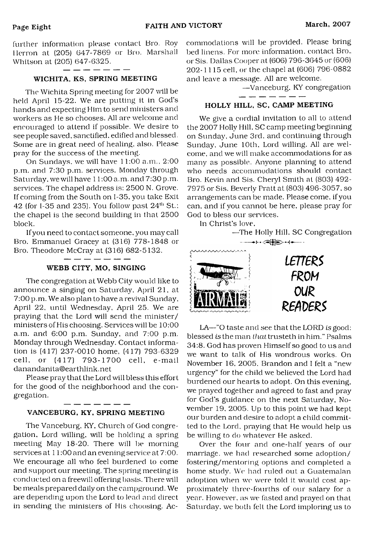further information please contact Bro. Roy Herron at (205) 647-7869 or Bro. Marshall Whitson at (205) 647-6325.

#### WICHITA, KS, SPRING MEETING

The Wichita Spring meeting for 2007 wall be held April 15-22. We are putting it in God's hands and expecting Him to send ministers and workers as He so chooses. All are welcome and encouraged to attend if possible. We desire to see people saved, sanctified, edified and blessed. Some are in great need of healing, also. Please pray for the success of the meeting.

On Sundays, we will have 11:00 a.m., 2:00 p.m. and 7:30 p.m. services. Monday through Saturday, we will have 11:00 a.m. and 7:30 p.m. services. The chapel address is: 2500 N. Grove. If coming from the South on 1-35, you take Exit 42 (for I-35 and 235). You follow past  $24<sup>th</sup>$  St.: the chapel is the second building in that 2500 block.

If you need to contact someone, you may call Bro. Emmanuel Gracey at (316) 778-1848 or Bro. Theodore McCray at (316) 682-5132.

#### WEBB CITY, MO, SINGING

\_ \_ \_ \_ \_ \_ \_

The congregation at Webb City would like to announce a singing on Saturday, April 21, at 7:00 p.m. We also plan to have a revival Sunday, April 22, until Wednesday, April 25. We are praying that the Lord will send the minister/ ministers of His choosing. Services will be 10:00 a.m. and 6:00 p.m. Sunday, and 7:00 p.m. Monday through Wednesday. Contact information is (417) 237-0010 home, (417) 793-6329 cell, or (417) 793-1700 cell, e-mail [danandanita@earthlink.net](mailto:danandanita@earthlink.net)

Please pray that the Lord will bless this effort for the good of the neighborhood and the congregation.

#### VANCEBURG, KY, SPRING MEETING

The Vanceburg, KY, Church of Cod congregation, Lord willing, will be holding a spring meeting May 18-20. There will be morning services at  $11:00$  and an evening service at  $7:00$ . We encourage all who feel burdened to come and support our meeting. The spring meeting is conducted on a freewill offering basis. 'There will be meals prepared daily on the campground. We are depending upon the Lord to lead and direct in sending the ministers of His choosing. Accommodations will be provided. Please bring bed linens. For more information, contact Bro.. or Sis. Dallas Cooper at (606) 796-3645 or (606) 202-1115 cell, or the chapel at (606) 796-0882 and leave a message. All are welcome.

> —Vanceburg, KY congregation - -- -- -- -- --

#### HOLLY HILL, SC, CAMP MEETING

We give a cordial invitation to all to attend the 2007 Holly Hill. SC camp meeting beginning on Sunday, June 3rd. and continuing through Sunday, June 10th, Lord willing. All are welcome, and we will make accommodations for as many as possible. Anyone planning to attend who needs accommodations should contact Bro. Kevin and Sis. Cheryl Smith at (803) 492- 7975 or Sis. Beverly Pratt at (803) 496-3057, so arrangements can be made. Please come, if you can, and if you cannot be here, please pray for God to bless our services.

In Christ's love,



LA—"0 taste and see that the LORD *is* good: blessed *is* the man *that* trusteth in him." Psalms 34:8. God has proven Himself so good to us and we want to talk of His wondrous works. On November 16, 2005. Brandon and I felt a "new urgency" for the child we believed the Lord had burdened our hearts to adopt. On this evening, we prayed together and agreed to fast and pray for God's guidance on the next Saturday, November 19, 2005. Up to this point we had kept our burden and desire to adopt a child committed to the Lord, praying that He would help us be willing to do whatever He asked.

Over the four and one-half years of our marriage, we had researched some adoption/ fostering/mentoring options and completed a home study. We had ruled out a Guatemalan adoption when we were told it would cost approximately three-fourths of our salary for a year. However, as we fasted and prayed on that Saturday, we both felt the Lord imploring us to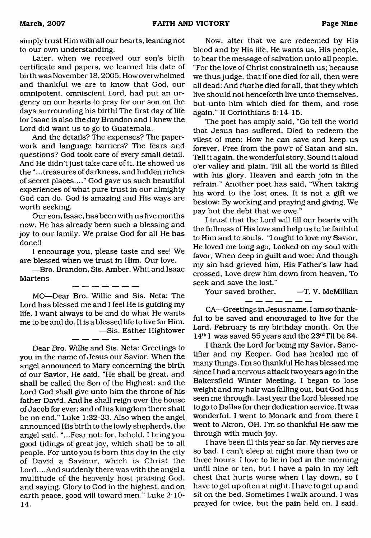simply trust Him with all our hearts, leaning not to our own understanding.

Later, when we received our son's birth certificate and papers, we learned his date of birth was November 18,2005. How overwhelmed and thankful we are to know that God, our omnipotent, omniscient Lord, had put an urgency on our hearts to pray for our son on the days surrounding his birth! The first day of life for Isaac is also the day Brandon and I knew the Lord did want us to go to Guatemala.

And the details? The expenses? The paperwork and language barriers? The fears and questions? God took care of every small detail. And He didn't just take care of it, He showed us the "...treasures of darkness, and hidden riches of secret places...." God gave us such beautiful experiences of what pure trust in our almighty God can do. God is amazing and His ways are worth seeking.

Our son, Isaac, has been with us five months now. He has already been such a blessing and joy to our family. We praise God for all He has done!!

I encourage you, please taste and see! We are blessed when we trust in Him. Our love,

—Bro. Brandon, Sis. Amber, Whit and Isaac Martens

MO—Dear Bro. Willie and Sis. Neta: The Lord has blessed me and I feel He is guiding my life. I want always to be and do what He wants me to be and do. It is a blessed life to live for Him. —Sis. Esther Hightower

Dear Bro. Willie and Sis. Neta: Greetings to you in the name of Jesus our Savior. When the angel announced to Mary concerning the birth of our Savior, He said, "He shall be great, and shall be called the Son of the Highest: and the Lord God shall give unto him the throne of his father David. And he shall reign over the house of Jacob for ever; and of his kingdom there shall be no end." Luke 1:32-33. Also when the angel announced His birth to the lowly shepherds, the angel said, "...Fear not: for, behold, I bring you good tidings of great joy, which shall be to all people. For unto you is bom this day in the city of David a Saviour, which is Christ the Lord... .And suddenly there was with the angel a multitude of the heavenly host praising God, and saying. Glory to God in the highest, and on earth peace, good will toward men." Luke 2:10- 14.

Now, after that we are redeemed by His blood and by His life. He wants us. His people, to bear the message of salvation unto all people. "For the love of Christ constraineth us; because we thus judge, that if one died for all, then were all dead: And thathe died for all, that they which live should not henceforth live unto themselves, but unto him which died for them, and rose again." II Corinthians 5:14-15.

The poet has amply said, "Go tell the world that Jesus has suffered, Died to redeem the vilest of men; How he can save and keep us forever. Free from the pow'r of Satan and sin. Tell it again, the wonderful story, Sound it aloud o'er valley and plain. Till all the world is filled with his glory. Heaven and earth join in the refrain." Another poet has said, "When taking his word to the lost ones. It is not a gift we bestow: By working and praying and giving, We pay but the debt that we owe."

I trust that the Lord will fill our hearts with the fullness of His love and help us to be faithful to Him and to souls. "I ought to love my Savior, He loved me long ago. Looked on my soul with favor, When deep in guilt and woe: And though my sin had grieved him, His Father's law had crossed, Love drew him down from heaven, To seek and save the lost."

Your saved brother, - T. V. McMillian \_\_\_\_\_\_\_

CA—Greetings in Jesus name. I am so thankful to be saved and encouraged to live for the Lord. February is my birthday month. On the 14th I was saved 55 years and the 23rd I'll be 84.

I thank the Lord for being my Savior, Sanctifier and my Keeper. God has healed me of many things. I'm so thankful He has blessed me since I had a nervous attack two years ago in the Bakersfield Winter Meeting. I began to lose weight and my hair was falling out, but God has seen me through. Last year the Lord blessed me to go to Dallas for their dedication service. It was wonderful. I went to Monark and from there I went to Akron, OH. I'm so thankful He saw me through with much joy.

I have been ill this year so far. My nerves are so bad, I can't sleep at night more than two or three hours. I love to lie in bed in the morning until nine or ten, but I have a pain in my left chest that hurts worse when I lay down, so I have to get up often at night. I have to get up and sit on the bed. Sometimes I walk around. I was prayed for twice, but the pain held on. I said,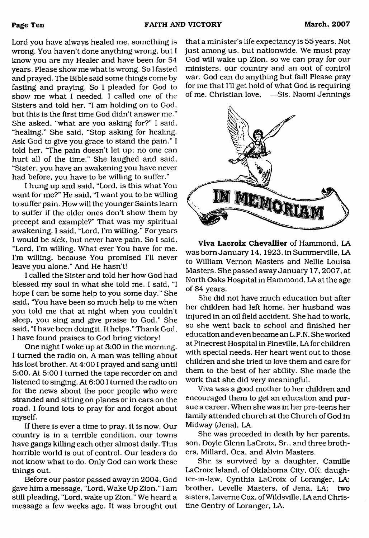Lord you have always healed me, something is wrong. You haven't done anything wrong, but I know you are my Healer and have been for 54 years. Please show me what is wrong. So I fasted and prayed. The Bible said some things come by fasting and praying. So I pleaded for God to show me what I needed. I called one of the Sisters and told her, "I am holding on to God, but this is the first time God didn't answer me." She asked, "what are you asking for?" I said, "healing." She said, "Stop asking for healing. Ask God to give you grace to stand the pain." I told her, 'The pain doesn't let up; no one can hurt all of the time." She laughed and said, "Sister, you have an awakening you have never had before, you have to be willing to suffer."

I hung up and said, "Lord, is this what You want for me?" He said, "I want you to be willing to suffer pain. How will the younger Saints learn to suffer if the older ones don't show them by precept and example?" That was my spiritual awakening. I said, "Lord, I'm willing." For years I would be sick, but never have pain. So I said, "Lord, I'm willing. What ever You have for me. I'm willing, because You promised I'll never leave you alone." And He hasn't!

I called the Sister and told her how God had blessed my soul in what she told me. I said, "I hope I can be some help to you some day." She said, "You have been so much help to me when you told me that at night when you couldn't sleep, you sing and give praise to God." She said, "I have been doing it. It helps." Thank God, I have found praises to God bring victory!

One night I woke up at 3:00 in the morning. I turned the radio on, A man was telling about his lost brother. At 4:001 prayed and sang until 5:00. At 5:00 I turned the tape recorder on and listened to singing. At 6:001 turned the radio on for the news about the poor people who were stranded and sitting on planes or in cars on the road. I found lots to pray for and forgot about myself.

If there is ever a time to pray, it is now. Our country is in a terrible condition, our towns have gangs killing each other almost daily. This horrible world is out of control. Our leaders do not know what to do. Only God can work these things out.

Before our pastor passed away in 2004, God gave him a message, "Lord, Wake Up Zion." I am still pleading, "Lord, wake up Zion." We heard a message a few weeks ago. It was brought out

that a minister's life expectancy is 55 years. Not just among us. but nationwide. We must pray God will wake up Zion, so we can pray for our ministers, our country and an out of control war. God can do anything but fail! Please pray for me that I'll get hold of what God is requiring of me. Christian love, —Sis. Naomi Jennings



**Viva Lacroix Chevallier** of Hammond, LA was bom January 14, 1923, in Summerville, LA to William Vernon Masters and Nellie Louisa Masters. She passed away January 17,2007, at North Oaks Hospital in Hammond, LA at the age of 84 years.

She did not have much education but after her children had left home, her husband was injured in an oil field accident. She had to work, so she went back to school and finished her education and even became an L. P. N. She worked at Pinecrest Hospital in Pineville, LA for children with special needs. Her heart went out to those children and she tried to love them and care for them to the best of her ability. She made the work that she did very meaningful.

Viva was a good mother to her children and encouraged them to get an education and pursue a career. When she was in her pre-teens her family attended church at the Church of God in Midway (Jena), LA.

She was preceded in death by her parents, son, Doyle Glenn LaCroix, Sr., and three brothers, Millard, Oca, and Alvin Masters.

She is survived by a daughter, Camille LaCroix Island, of Oklahoma City, OK; daughter-in-law, Cynthia LaCroix of Loranger, LA; brother, Levelle Masters, of Jena, LA; two sisters, Laverne Cox, ofWildsville, LA and Christine Gentry of Loranger, LA.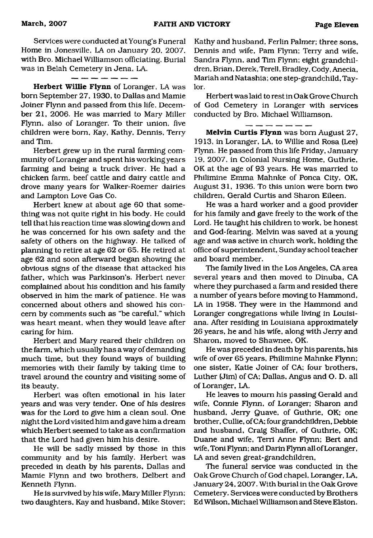Services were conducted at Young's Funeral Home in Jonesville, LA on January 20, 2007, with Bro. Michael Williamson officiating. Burial was in Belah Cemetery in Jena, LA.

#### - - - -

**Herbert Willie Flynn** of Loranger, LA was bom September 27, 1930, to Dallas and Mamie Joiner Flynn and passed from this life, December 21, 2006. He was married to Mary Miller Flynn, also of Loranger. To their union, five children were born, Kay, Kathy, Dennis, Terry and Tim.

Herbert grew up in the rural farming community of Loranger and spent his working years farming and being a truck driver. He had a chicken farm, beef cattle and dairy cattle and drove many years for Walker-Roemer dairies and Lampton Love Gas Co.

Herbert knew at about age 60 that something was not quite right in his body. He could tell that his reaction time was slowing down and he was concerned for his own safety and the safety of others on the highway. He talked of planning to retire at age 62 or 65. He retired at age 62 and soon afterward began showing the obvious signs of the disease that attacked his father, which was Parkinson's. Herbert never complained about his condition and his family observed in him the mark of patience. He was concerned about others and showed his concern by comments such as "be careful," which was heart meant, when they would leave after caring for him.

Herbert and Mary reared their children on the farm, which usually has a way of demanding much time, but they found ways of building memories with their family by taking time to travel around the country and visiting some of its beauty.

Herbert was often emotional in his later years and was very tender. One of his desires was for the Lord to give him a clean soul. One night the Lord visited him and gave him a dream which Herbert seemed to take as a confirmation that the Lord had given him his desire.

He will be sadly missed by those in this community and by his family. Herbert was preceded in death by his parents, Dallas and Mamie Flynn and two brothers, Delbert and Kenneth Flynn.

He is survived by his wife, Mary Miller Flynn; two daughters, Kay and husband, Mike Stover;

Kathy and husband, Ferlin Palmer; three sons, Dennis and wife, Pam Flynn; Terry and wife, Sandra Flynn, and Tim Flynn; eight grandchildren, Brian, Derek, Terell, Bradley, Cody, Anecia, Mariah and Natashia; one step-grandchild, Taylor.

Herbert was laid to rest in Oak Grove Church of God Cemetery in Loranger with services conducted by Bro. Michael Williamson.

 $\overline{\phantom{a}}$   $\overline{\phantom{a}}$   $\overline{\phantom{a}}$   $\overline{\phantom{a}}$   $\overline{\phantom{a}}$   $\overline{\phantom{a}}$   $\overline{\phantom{a}}$   $\overline{\phantom{a}}$   $\overline{\phantom{a}}$   $\overline{\phantom{a}}$   $\overline{\phantom{a}}$   $\overline{\phantom{a}}$   $\overline{\phantom{a}}$   $\overline{\phantom{a}}$   $\overline{\phantom{a}}$   $\overline{\phantom{a}}$   $\overline{\phantom{a}}$   $\overline{\phantom{a}}$   $\overline{\$ 

**Melvin Curtis Flynn** was bom August 27, 1913, in Loranger, LA, to Willie and Rosa (Lee) Flynn. He passed from this life Friday, January 19, 2007, in Colonial Nursing Home, Guthrie, OK at the age of 93 years. He was married to Philimine Emma Mahnke of Ponca City, OK, August 31, 1936. To this union were bom two children, Gerald Curtis and Sharon Eileen.

He was a hard worker and a good provider for his family and gave freely to the work of the Lord. He taught his children to work, be honest and God-fearing. Melvin was saved at a young age and was active in church work, holding the office of superintendent, Sunday school teacher and board member.

The family lived in the Los Angeles, CA area several years and then moved to Dinuba, CA where they purchased a farm and resided there a number of years before moving to Hammond, LA in 1958. They were in the Hammond and Loranger congregations while living in Louisiana. After residing in Louisiana approximately 26 years, he and his wife, along with Jerry and Sharon, moved to Shawnee, OK.

He was preceded in death by his parents, his wife of over 65 years, Philimine Mahnke Flynn; one sister, Katie Joiner of CA; four brothers, Luther (Jim) of CA; Dallas, Angus and O. D. all of Loranger, LA.

He leaves to mourn his passing Gerald and wife, Connie Flynn, of Loranger; Sharon and husband, Jerry Quave, of Guthrie, OK; one brother, Cullie, ofCA; four grandchildren, Debbie and husband, Craig Shaffer, of Guthrie, OK; Duane and wife, Terri Anne Flynn; Bert and wife, Toni Flynn; and Darin Flynn all of Loranger, LA and seven great-grandchildren,

The funeral service was conducted in the Oak Grove Church of God chapel, Loranger, LA, January 24,2007. With burial in the Oak Grove Cemetery. Services were conducted by Brothers Ed Wilson, Michael Williamson and Steve Elston.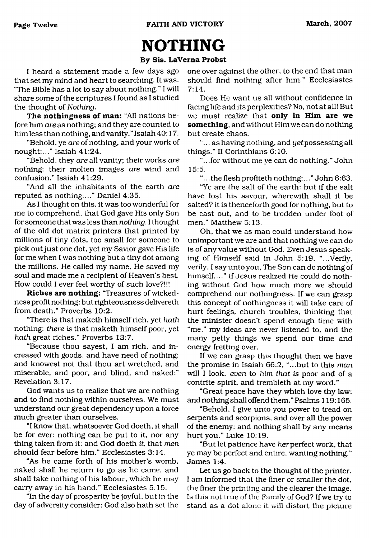# <span id="page-11-0"></span>**NOTHING**

#### **By Sis. LaVerna Probst**

I heard a statement made a few days ago that set my mind and heart to searching. It was, "The Bible has a lot to say about nothing." I will share some of the scriptures I found as I studied the thought of *Nothing.*

**The nothingness of man:** "All nations before him *areas* nothing; and they are counted to him less than nothing, and vanity." Isaiah 40:17.

"Behold, ye *are* of nothing, and your work of nought:..." Isaiah 41:24.

"Behold, they *are* all vanity; their works *are* nothing: their molten images *are* wind and confusion." Isaiah 41:29.

"And all the inhabitants of the earth *are* reputed as nothing:..." Daniel 4:35.

As I thought on this, it was too wonderful for me to comprehend, that God gave His only Son for someone that was less than *nothing.* I thought of the old dot matrix printers that printed by millions of tiny dots, too small for someone to pick out just one dot, yet my Savior gave His life for me when I was nothing but a tiny dot among the millions. He called my name, He saved my soul and made me a recipient of Heaven's best. How could I ever feel worthy of such love?!!!

**Riches are nothing:** 'Treasures of wickedness profit nothing: but righteousness delivereth from death." Proverbs 10:2.

"There is that maketh himself rich, yet *hath* nothing: *there is* that maketh himself poor, yet *hath* great riches." Proverbs 13:7.

"Because thou sayest, I am rich, and increased with goods, and have need of nothing; and knowest not that thou art wretched, and miserable, and poor, and blind, and naked:" Revelation 3:17.

God wants us to realize that we are nothing and to find nothing within ourselves. We must understand our great dependency upon a force much greater than ourselves.

"I know that, whatsoever God doeth, it shall be for ever: nothing can be put to it, nor any thing taken from it: and God doeth *it,* that *men* should fear before him." Ecclesiastes 3:14.

"As he came forth of his mother's womb, naked shall he return to go as he came, and shall take nothing of his labour, which he may carry away in his hand." Ecclesiastes 5:15.

"In the day of prosperity be joyful, but in the day of adversity consider: God also hath set the one over against the other, to the end that man should find nothing after him." Ecclesiastes 7:14.

Does He want us all without confidence in facing life and its perplexities? No, not at all! But we must realize that **only in Him are we something,** and without Him we can do nothing but create chaos.

"... as having nothing, and yet possessing all things." II Corinthians 6:10.

"...for without me ye can do nothing." John 15:5.

".. .the flesh profiteth nothing:..." John 6:63.

"Ye are the salt of the earth: but if the salt have lost his savour, wherewith shall it be salted? it is thenceforth good for nothing, but to be cast out, and to be trodden under foot of men." Matthew 5:13.

Oh, that we as man could understand how unimportant we are and that nothing we can do is of any value without God. Even Jesus speaking of Himself said in John 5:19, "...Verily, verily, I say unto you, The Son can do nothing of himself,..." If Jesus realized He could do nothing without God how much more we should comprehend our nothingness. If we can grasp this concept of nothingness it will take care of hurt feelings, church troubles, thinking that the minister doesn't spend enough time with "me," my ideas are never listened to, and the many petty things we spend our time and energy fretting over.

If we can grasp this thought then we have the promise in Isaiah 66:2, "...but to this *man* will I look, *even* to *him that is* poor and of a contrite spirit, and trembleth at my word."

"Great peace have they which love thy law: and nothing shall offend them." Psalms 119:165.

"Behold, I give unto you power to tread on serpents and scorpions, and over all the power of the enemy: and nothing shall by any means hurt you." Luke 10:19.

"But let patience have *her* perfect work, that ye may be perfect and entire, wanting nothing." James 1:4.

Let us go back to the thought of the printer. I am informed that the finer or smaller the dot, the finer the printing and the clearer the image. Is this not true of the Family of God? If we try to stand as a dot alone it will distort the picture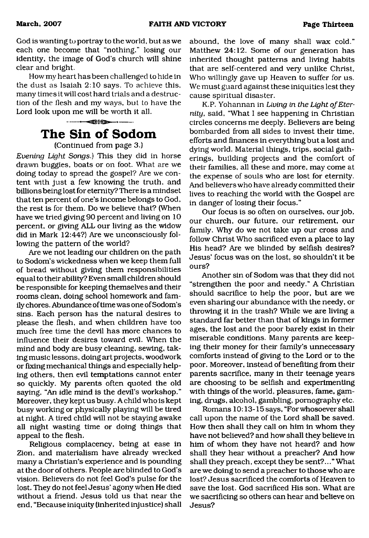God is wanting to portray to the world, but as we each one become that "nothing," losing our identity, the image of God's church will shine clear and bright.

How my heart has been challenged to hide in the dust as Isaiah 2:10 says. To achieve this, many times it will cost hard trials and a destruction of the flesh and my ways, but to have the Lord look upon me will be worth it all.



(Continued from page 3.)

*Evening Light Songs.)* This they did in horse drawn buggies, boats or on foot. What are we doing today to spread the gospel? Are we content with just a few knowing the truth, and billions being lost for eternity? There is a mindset that ten percent of one's income belongs to God, the rest is for them. Do we believe that? (When have we tried giving 90 percent and living on 10 percent, or giving ALL our living as the widow did in Mark 12:44?) Are we unconsciously following the pattern of the world?

Are we not leading our children on the path to Sodom's wickedness when we keep them full of bread without giving them responsibilities equal to their ability? Even small children should be responsible for keeping themselves and their rooms clean, doing school homework and family chores. Abundance of time was one of Sodom's sins. Each person has the natural desires to please the flesh, and when children have too much free time the devil has more chances to influence their desires toward evil. When the mind and body are busy cleaning, sewing, taking music lessons, doing art projects, woodwork or fixing mechanical things and especially helping others, then evil temptations cannot enter so quickly. My parents often quoted the old saying, "An idle mind is the devil's workshop." Moreover, they kept us busy. A child who is kept busy working or physically playing will be tired at night. A tired child will not be staying awake all night wasting time or doing things that appeal to the flesh.

Religious complacency, being at ease in Zion, and materialism have already wrecked many a Christian's experience and is pounding at the door of others. People are blinded to God's vision. Believers do not feel God's pulse for the lost. They do not feel Jesus' agony when He died without a friend. Jesus told us that near the end, "Because iniquity (inherited injustice) shall abound, the love of many shall wax cold." Matthew 24:12. Some of our generation has inherited thought patterns and living habits that are self-centered and very unlike Christ, Who willingly gave up Heaven to suffer for us. We must guard against these iniquities lest they cause spiritual disaster.

K.P. Yohannan in Living in the Light of Eter*nity,* said, "What I see happening in Christian circles concerns me deeply. Believers are being bombarded from all sides to invest their time, efforts and finances in everything but a lost and dying world. Material things, trips, social gatherings, building projects and the comfort of their families, all these and more, may come at the expense of souls who are lost for eternity. And believers who have already committed their lives to reaching the world with the Gospel are in danger of losing their focus."

Our focus is so often on ourselves, our job, our church, our future, our retirement, our family. Why do we not take up our cross and follow Christ Who sacrificed even a place to lay His head? Are we blinded by selfish desires? Jesus' focus was on the lost, so shouldn't it be ours?

Another sin of Sodom was that they did not "strengthen the poor and needy." A Christian should sacrifice to help the poor, but are we even sharing our abundance with the needy, or throwing it in the trash? While we are living a standard far better than that of kings in former ages, the lost and the poor barely exist in their miserable conditions. Many parents are keeping their money for their family's unnecessary comforts instead of giving to the Lord or to the poor. Moreover, instead of benefiting from their parents sacrifice, many in their teenage years are choosing to be selfish and experimenting with things of the world, pleasures, fame, gaming, drugs, alcohol, gambling, pornography etc.

Romans 10:13-15 says, "For whosoever shall call upon the name of the Lord shall be saved. How then shall they call on him in whom they have not believed? and how shall they believe in him of whom they have not heard? and how shall they hear without a preacher? And how shall they preach, except they be sent?..." What are we doing to send a preacher to those who are lost? Jesus sacrificed the comforts of Heaven to save the lost. God sacrificed His son. What are we sacrificing so others can hear and believe on Jesus?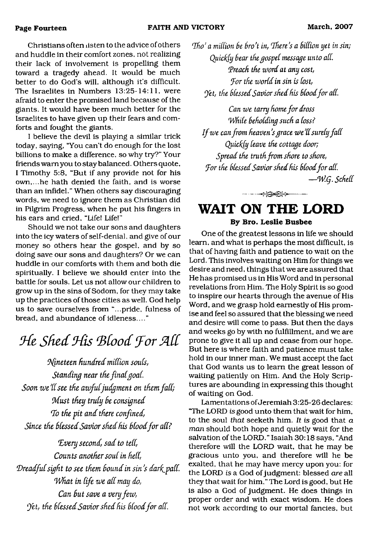Christians often listen to the advice of others and huddle in their comfort zones, not realizing their lack of involvement is propelling them toward a tragedy ahead. It would be much better to do God's will, although it's difficult. The Israelites in Numbers 13:25-14:11, were afraid to enter the promised land because of the giants. It would have been much better for the Israelites to have given up their fears and comforts and fought the giants.

I believe the devil is playing a similar trick today, saying, "You can't do enough for the lost billions to make a difference, so why try?" Your friends warn you to stay balanced. Others quote, I Timothy 5:8, "But if any provide not for his own,...he hath denied the faith, and is worse than an infidel." When others say discouraging words, we need to ignore them as Christian did in Pilgrim Progress, when he put his fingers in his ears and cried, "Life! Life!"

Should we not take our sons and daughters into the icy waters of self-denial, and give of our money so others hear the gospel, and by so doing save our sons and daughters? Or we can huddle in our comforts with them and both die spiritually. I believe we should enter into the battle for souls. Let us not allow our children to grow up in the sins of Sodom, for they may take up the practices of those cities as well. God help us to save ourselves from "...pride, fulness of bread, and abundance of idleness...."

# *He Shed His Blood For All*

*Nineteen hundred million souls, Standing near the finalgoaL* Soon we'll see the awful judgment on them fall; *M ust they truly he consigned To the pit and there confined,* Since the blessed Savior shed his blood for all?

Every second, sad to tell, *Counts another soul in hell,* Dreadful sight to see them bound in sin's dark pall. *What in life we all may do,* Can but save a very few, *Yet, the blessed Savior shed his blood for all.* 

*Tho' a million be bro't in, There's a billion yet in sin; Quictfy bear the gospel message unto all. (Preach the word at any cost, for the world in sin is lost, Yet, the blessed Savior shed his blood for all.* 

*Can we tarry home for dross While beholding such a loss? If we can from heaven's grace we'll surely fall Quiclfy leave the cottage door; Spread the truth from shore to shore,* For the blessed Savior shed his blood for all. *— W .q. Schell*

# <span id="page-13-0"></span>**WAIT ON THE LORD By Bro. Leslie Busbee**

------- ------------------

One of the greatest lessons in life we should learn, and what is perhaps the most difficult, is that of having faith and patience to wait on the Lord. This involves waiting on Him for things we desire and need, things that we are assured that He has promised us in His Word and in personal revelations from Him. The Holy Spirit is so good to inspire our hearts through the avenue of His Word, and we grasp hold earnestly of His promise and feel so assured that the blessing we need and desire will come to pass. But then the days and weeks go by with no fulfillment, and we are prone to give it all up and cease from our hope. But here is where faith and patience must take hold in our inner man. We must accept the fact that God wants us to learn the great lesson of waiting patiently on Him. And the Holy Scriptures are abounding in expressing this thought of waiting on God.

Lamentations of Jeremiah 3:25-26 declares: "The LORD is good unto them that wait for him, to the soul *that* seeketh him. *It is* good that *a man* should both hope and quietly wait for the salvation of the LORD." Isaiah 30:18 says, "And therefore will the LORD wait, that he may be gracious unto you, and therefore will he be exalted, that he may have mercy upon you: for the LORD *is* a God of judgment: blessed *are* all they that wait for him," The Lord is good, but He is also a God of judgment. He does things in proper order and with exact wisdom. He does not work according to our mortal fancies, but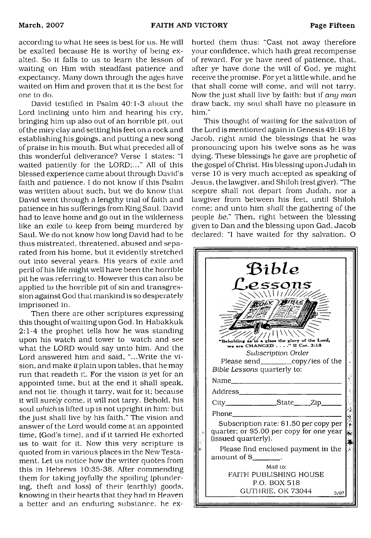according lo what He sees is best for us. He will be exalted because He is worthy of being exalted. So it falls to us to learn the lesson of waiting on Him with steadfast patience and expectancy. Many down through the ages have waited on Him and proven that it is the best for one to do.

David testified in Psalm 40:1-3 about the Lord inclining unto him and hearing his cry, bringing him up also out of an horrible pit. out of the miry clay and setting his feet on a rock and establishing his goings, and putting a new song of praise in his mouth. But what preceded all of this wonderful deliverance? Verse 1 states: "I waited patiently for the LORD;..." All of this blessed experience came about through David's faith and patience. I do not know if this Psalm was written about such, but we do know that David went through a lengthy trial of faith and patience in his sufferings from King Saul. David had to leave home and go out in the wilderness like an exile to keep from being murdered by Saul. We do not know how long David had to be thus mistreated, threatened, abused and separated from his home, but it evidently stretched out into several years. His years of exile and peril of his life might well have been the horrible pit he was referring to. However this can also be applied to the horrible pit of sin and transgression against God that mankind is so desperately imprisoned in.

Then there are other scriptures expressing this thought of waiting upon God. In Habakkuk 2:1-4 the prophet tells how he was standing upon his watch and tower to watch and see what the LORD would say unto him. And the Lord answered him and said, "...Write the vision, and make it plain upon tables, that he may run that readeth it. For the vision is yet for an appointed time, but at the end it shall speak, and not lie. though it tarry, wait for it; because it will surely come, it will not tarry. Behold, his soul *which* is lifted up is not upright in him: but the just shall live by his faith." The vision and answer of the Lord would come at an appointed time, (God's time), and if it tarried He exhorted us to wait for it. Now this very scripture is quoted from in various places in the New Testament. Let us notice how the writer quotes from this in Hebrews 10:35-38. After commending them for taking joyfully the spoiling (plundering, theft and loss) of their (earthly) goods, knowing in their hearts that they had in Heaven a better and an enduring substance, he exhorted them thus: "Cast not away therefore your confidence, which hath great recompense of reward. For ye have need of patience, that, after ye have done the will of God, ye might receive the promise. For yet a little while, and he that shall come will come, and will not tarry. Now the just shall live by faith: but if *any man* draw back, my soul shall have no pleasure in him."

This thought of waiting for the salvation of the Lord is mentioned again in Genesis 49:18 by Jacob, right amid the blessings that he was pronouncing upon his twelve sons as he was dying. These blessings he gave are prophetic of the gospel of Christ. His blessing upon Judah in verse 10 is very much accepted as speaking of Jesus, the lawgiver, and Shiloh (rest giver). 'The sceptre shall not depart from Judah, nor a lawgiver from between his feet, until Shiloh come; and unto him *shall* the gathering of the people *be."* Then, right between the blessing given to Dan and the blessing upon Gad, Jacob declared: "I have waited for thy salvation, O

| Bible<br>essons.<br>$\sqrt{111/111/2}$<br><b>BIBLE</b><br>in a glass the glory of the Lord,<br>"Beholding as<br>we are CHANGED" II Cor. 3:18<br>Subscription Order<br>Please send_____________copy/ies of the<br>Bible Lessons quarterly to:                                                                                                                  |  |
|---------------------------------------------------------------------------------------------------------------------------------------------------------------------------------------------------------------------------------------------------------------------------------------------------------------------------------------------------------------|--|
| Name<br>Address_____________________<br>City__________________State_____Zip_____<br>Phone<br>Subscription rate: \$1.50 per copy per<br>quarter; or \$5.00 per copy for one year<br>(issued quarterly).<br>Please find enclosed payment in the<br>amount of $\frac{1}{2}$ .<br>Mail to:<br>FAITH PUBLISHING HOUSE<br>P.O. BOX 518<br>GUTHRIE, OK 73044<br>3/07 |  |